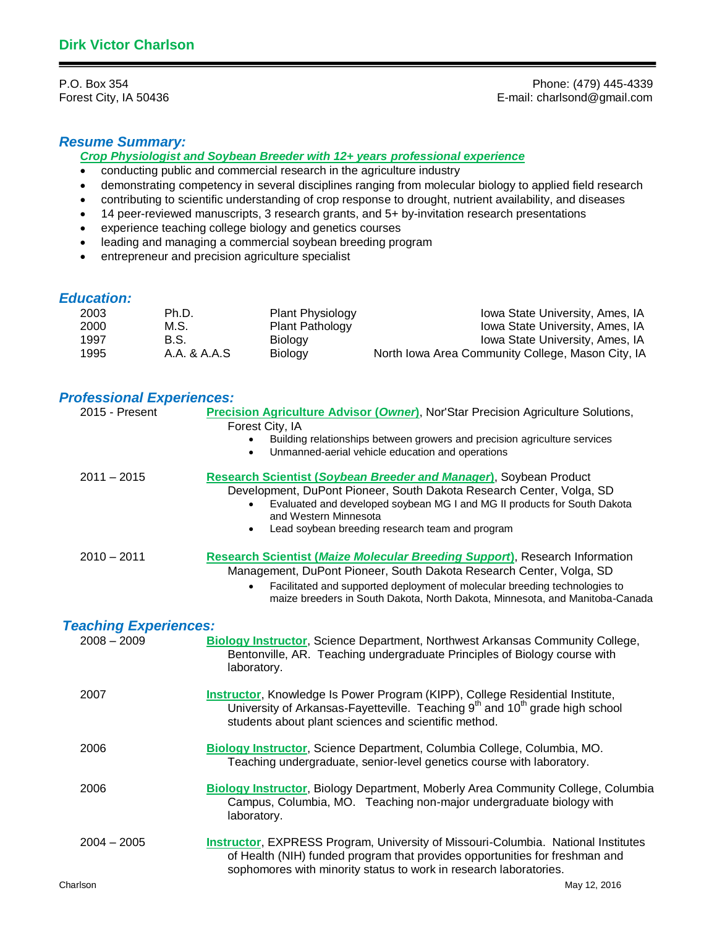P.O. Box 354 Phone: (479) 445-4339<br>Forest City, IA 50436 **Phone:** (479) 445-4339 **Forest City, IA 50436** E-mail: charlsond@gmail.com

# *Resume Summary:*

*Crop Physiologist and Soybean Breeder with 12+ years professional experience*

- conducting public and commercial research in the agriculture industry
- demonstrating competency in several disciplines ranging from molecular biology to applied field research
- contributing to scientific understanding of crop response to drought, nutrient availability, and diseases
- 14 peer-reviewed manuscripts, 3 research grants, and 5+ by-invitation research presentations
- experience teaching college biology and genetics courses
- leading and managing a commercial soybean breeding program
- entrepreneur and precision agriculture specialist

# *Education:*

| 2003 | Ph.D.        | <b>Plant Physiology</b> | Iowa State University, Ames, IA                   |
|------|--------------|-------------------------|---------------------------------------------------|
| 2000 | M.S.         | <b>Plant Pathology</b>  | Iowa State University, Ames, IA                   |
| 1997 | B.S.         | Biology                 | Iowa State University, Ames, IA                   |
| 1995 | A.A. & A.A.S | Biology                 | North Iowa Area Community College, Mason City, IA |

# *Professional Experiences:*

| 2015 - Present               | Precision Agriculture Advisor (Owner), Nor'Star Precision Agriculture Solutions,<br>Forest City, IA<br>Building relationships between growers and precision agriculture services<br>Unmanned-aerial vehicle education and operations<br>$\bullet$                                                                                    |  |  |
|------------------------------|--------------------------------------------------------------------------------------------------------------------------------------------------------------------------------------------------------------------------------------------------------------------------------------------------------------------------------------|--|--|
| $2011 - 2015$                | Research Scientist (Soybean Breeder and Manager), Soybean Product<br>Development, DuPont Pioneer, South Dakota Research Center, Volga, SD<br>Evaluated and developed soybean MG I and MG II products for South Dakota<br>and Western Minnesota<br>Lead soybean breeding research team and program<br>$\bullet$                       |  |  |
| $2010 - 2011$                | <b>Research Scientist (Maize Molecular Breeding Support), Research Information</b><br>Management, DuPont Pioneer, South Dakota Research Center, Volga, SD<br>Facilitated and supported deployment of molecular breeding technologies to<br>$\bullet$<br>maize breeders in South Dakota, North Dakota, Minnesota, and Manitoba-Canada |  |  |
| <b>Teaching Experiences:</b> |                                                                                                                                                                                                                                                                                                                                      |  |  |
| $2008 - 2009$                | Biology Instructor, Science Department, Northwest Arkansas Community College,<br>Bentonville, AR. Teaching undergraduate Principles of Biology course with<br>laboratory.                                                                                                                                                            |  |  |
| 2007                         | Instructor, Knowledge Is Power Program (KIPP), College Residential Institute,<br>University of Arkansas-Fayetteville. Teaching 9 <sup>th</sup> and 10 <sup>th</sup> grade high school<br>students about plant sciences and scientific method.                                                                                        |  |  |
| 2006                         | Biology Instructor, Science Department, Columbia College, Columbia, MO.<br>Teaching undergraduate, senior-level genetics course with laboratory.                                                                                                                                                                                     |  |  |
| 2006                         | <b>Biology Instructor, Biology Department, Moberly Area Community College, Columbia</b><br>Campus, Columbia, MO. Teaching non-major undergraduate biology with<br>laboratory.                                                                                                                                                        |  |  |
| $2004 - 2005$                | Instructor, EXPRESS Program, University of Missouri-Columbia. National Institutes<br>of Health (NIH) funded program that provides opportunities for freshman and<br>sophomores with minority status to work in research laboratories.                                                                                                |  |  |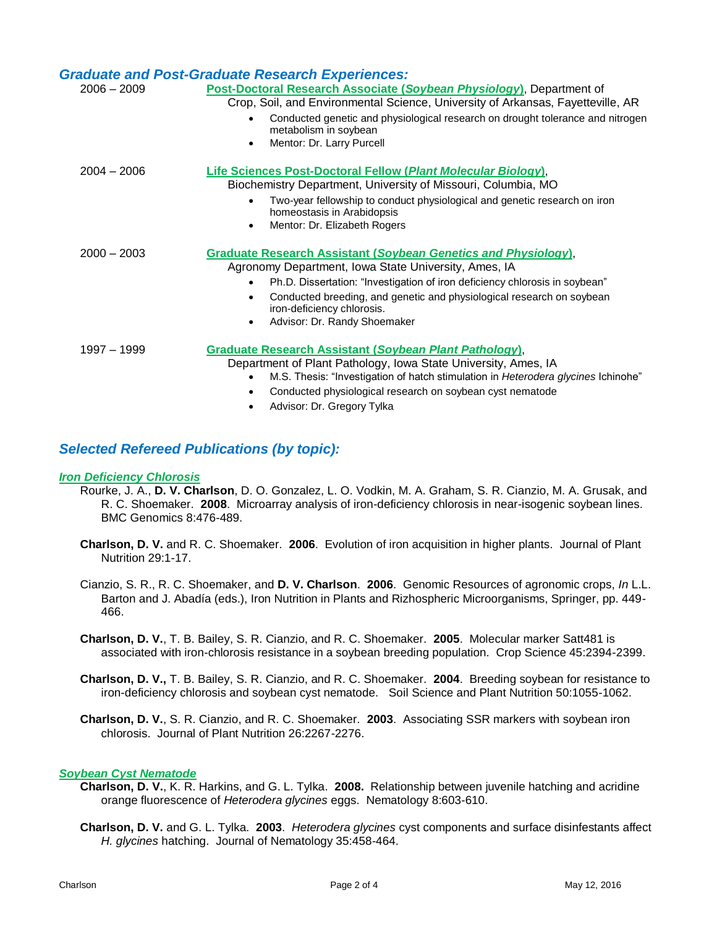|               | <b>Graduate and Post-Graduate Research Experiences:</b>                                                          |  |  |  |
|---------------|------------------------------------------------------------------------------------------------------------------|--|--|--|
| $2006 - 2009$ | Post-Doctoral Research Associate (Soybean Physiology), Department of                                             |  |  |  |
|               | Crop, Soil, and Environmental Science, University of Arkansas, Fayetteville, AR                                  |  |  |  |
|               | Conducted genetic and physiological research on drought tolerance and nitrogen<br>metabolism in soybean          |  |  |  |
|               | Mentor: Dr. Larry Purcell<br>$\bullet$                                                                           |  |  |  |
| $2004 - 2006$ | Life Sciences Post-Doctoral Fellow (Plant Molecular Biology),                                                    |  |  |  |
|               | Biochemistry Department, University of Missouri, Columbia, MO                                                    |  |  |  |
|               | Two-year fellowship to conduct physiological and genetic research on iron<br>homeostasis in Arabidopsis          |  |  |  |
|               | Mentor: Dr. Elizabeth Rogers<br>$\bullet$                                                                        |  |  |  |
| $2000 - 2003$ | <b>Graduate Research Assistant (Soybean Genetics and Physiology),</b>                                            |  |  |  |
|               | Agronomy Department, Iowa State University, Ames, IA                                                             |  |  |  |
|               | Ph.D. Dissertation: "Investigation of iron deficiency chlorosis in soybean"<br>$\bullet$                         |  |  |  |
|               | Conducted breeding, and genetic and physiological research on soybean<br>$\bullet$<br>iron-deficiency chlorosis. |  |  |  |
|               | Advisor: Dr. Randy Shoemaker<br>٠                                                                                |  |  |  |
| 1997 - 1999   | Graduate Research Assistant (Soybean Plant Pathology),                                                           |  |  |  |
|               | Department of Plant Pathology, Iowa State University, Ames, IA                                                   |  |  |  |
|               | M.S. Thesis: "Investigation of hatch stimulation in Heterodera glycines Ichinohe"                                |  |  |  |
|               | Conducted physiological research on soybean cyst nematode                                                        |  |  |  |
|               | Advisor: Dr. Gregory Tylka                                                                                       |  |  |  |

# *Selected Refereed Publications (by topic):*

### *Iron Deficiency Chlorosis*

- Rourke, J. A., **D. V. Charlson**, D. O. Gonzalez, L. O. Vodkin, M. A. Graham, S. R. Cianzio, M. A. Grusak, and R. C. Shoemaker. **2008**. Microarray analysis of iron-deficiency chlorosis in near-isogenic soybean lines. BMC Genomics 8:476-489.
- **Charlson, D. V.** and R. C. Shoemaker. **2006**. Evolution of iron acquisition in higher plants. Journal of Plant Nutrition 29:1-17.
- Cianzio, S. R., R. C. Shoemaker, and **D. V. Charlson**. **2006**. Genomic Resources of agronomic crops, *In* L.L. Barton and J. Abadía (eds.), Iron Nutrition in Plants and Rizhospheric Microorganisms, Springer, pp. 449- 466.
- **Charlson, D. V.**, T. B. Bailey, S. R. Cianzio, and R. C. Shoemaker. **2005**. Molecular marker Satt481 is associated with iron-chlorosis resistance in a soybean breeding population. Crop Science 45:2394-2399.
- **Charlson, D. V.,** T. B. Bailey, S. R. Cianzio, and R. C. Shoemaker. **2004**. Breeding soybean for resistance to iron-deficiency chlorosis and soybean cyst nematode. Soil Science and Plant Nutrition 50:1055-1062.
- **Charlson, D. V.**, S. R. Cianzio, and R. C. Shoemaker. **2003**. Associating SSR markers with soybean iron chlorosis. Journal of Plant Nutrition 26:2267-2276.

# *Soybean Cyst Nematode*

- **Charlson, D. V.**, K. R. Harkins, and G. L. Tylka. **2008.** Relationship between juvenile hatching and acridine orange fluorescence of *Heterodera glycines* eggs. Nematology 8:603-610.
- **Charlson, D. V.** and G. L. Tylka. **2003**. *Heterodera glycines* cyst components and surface disinfestants affect *H. glycines* hatching. Journal of Nematology 35:458-464.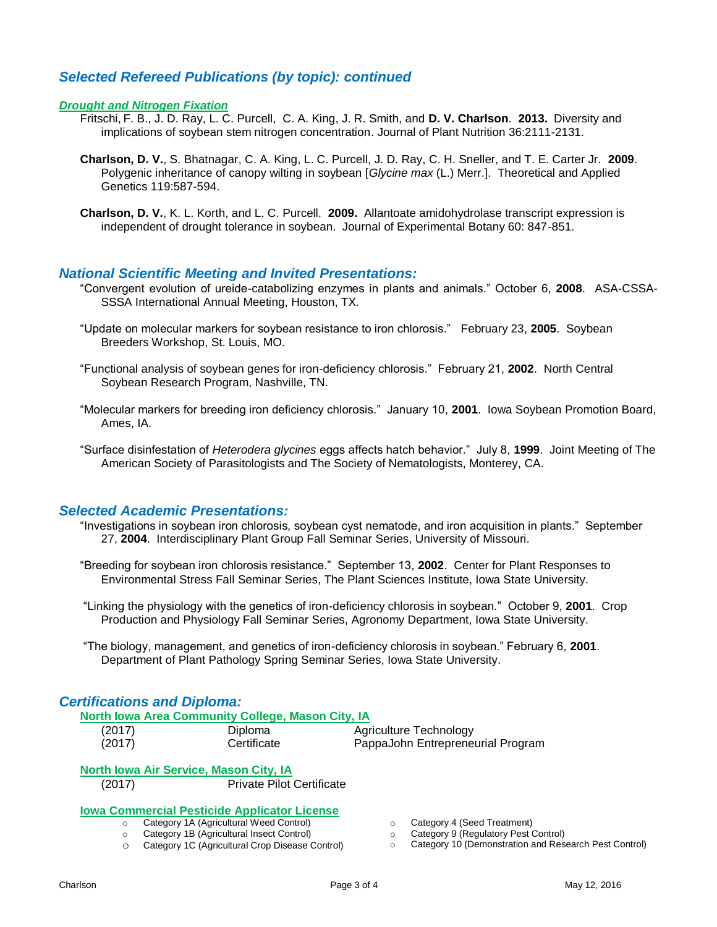# *Selected Refereed Publications (by topic): continued*

#### *Drought and Nitrogen Fixation*

- Fritschi, F. B., J. D. Ray, L. C. Purcell, C. A. King, J. R. Smith, and **D. V. Charlson**. **2013.** Diversity and implications of soybean stem nitrogen concentration. Journal of Plant Nutrition 36:2111-2131.
- **Charlson, D. V.**, S. Bhatnagar, C. A. King, L. C. Purcell, J. D. Ray, C. H. Sneller, and T. E. Carter Jr. **2009**. Polygenic inheritance of canopy wilting in soybean [*Glycine max* (L.) Merr.]. Theoretical and Applied Genetics 119:587-594.
- **Charlson, D. V.**, K. L. Korth, and L. C. Purcell. **2009.** Allantoate amidohydrolase transcript expression is independent of drought tolerance in soybean. Journal of Experimental Botany 60: 847-851.

#### *National Scientific Meeting and Invited Presentations:*

- "Convergent evolution of ureide-catabolizing enzymes in plants and animals." October 6, **2008**. ASA-CSSA-SSSA International Annual Meeting, Houston, TX.
- "Update on molecular markers for soybean resistance to iron chlorosis." February 23, **2005**. Soybean Breeders Workshop, St. Louis, MO.
- "Functional analysis of soybean genes for iron-deficiency chlorosis." February 21, **2002**. North Central Soybean Research Program, Nashville, TN.
- "Molecular markers for breeding iron deficiency chlorosis." January 10, **2001**. Iowa Soybean Promotion Board, Ames, IA.
- "Surface disinfestation of *Heterodera glycines* eggs affects hatch behavior." July 8, **1999**. Joint Meeting of The American Society of Parasitologists and The Society of Nematologists, Monterey, CA.

#### *Selected Academic Presentations:*

- "Investigations in soybean iron chlorosis, soybean cyst nematode, and iron acquisition in plants." September 27, **2004**. Interdisciplinary Plant Group Fall Seminar Series, University of Missouri.
- "Breeding for soybean iron chlorosis resistance." September 13, **2002**. Center for Plant Responses to Environmental Stress Fall Seminar Series, The Plant Sciences Institute, Iowa State University.
- "Linking the physiology with the genetics of iron-deficiency chlorosis in soybean." October 9, **2001**. Crop Production and Physiology Fall Seminar Series, Agronomy Department, Iowa State University.

"The biology, management, and genetics of iron-deficiency chlorosis in soybean." February 6, **2001**. Department of Plant Pathology Spring Seminar Series, Iowa State University.

#### *Certifications and Diploma:*

|        | North Iowa Area Community College, Mason City, IA |                                   |
|--------|---------------------------------------------------|-----------------------------------|
| (2017) | <b>Diploma</b>                                    | Agriculture Technology            |
| (2017) | Certificate                                       | PappaJohn Entrepreneurial Program |
|        | North Iowa Air Service, Mason City, IA            |                                   |

# **<u>Iowa Commercial Pesticide Applicator License</u>**<br>  $\circ$  Category 1A (Agricultural Weed Control)<br>
Control License Leocat Control

**Category 1A (Agricultural Weed Control)** o Category 1B (Agricultural Insect Control)

(2017) Private Pilot Certificate

- o Category 1C (Agricultural Crop Disease Control)
- o Category 4 (Seed Treatment)
- o Category 9 (Regulatory Pest Control)
- o Category 10 (Demonstration and Research Pest Control)